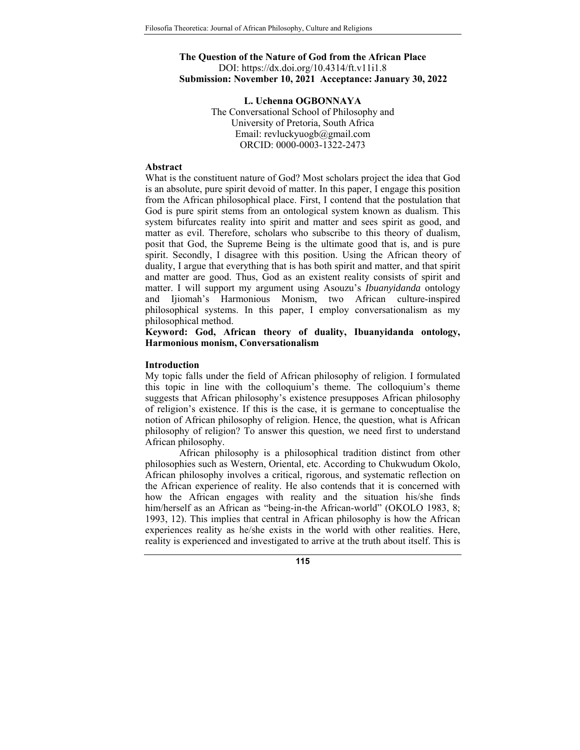## **The Question of the Nature of God from the African Place**  DOI: https://dx.doi.org/10.4314/ft.v11i1.8 **Submission: November 10, 2021 Acceptance: January 30, 2022**

**L. Uchenna OGBONNAYA**  The Conversational School of Philosophy and University of Pretoria, South Africa Email: revluckyuogb@gmail.com ORCID: 0000-0003-1322-2473

#### **Abstract**

What is the constituent nature of God? Most scholars project the idea that God is an absolute, pure spirit devoid of matter. In this paper, I engage this position from the African philosophical place. First, I contend that the postulation that God is pure spirit stems from an ontological system known as dualism. This system bifurcates reality into spirit and matter and sees spirit as good, and matter as evil. Therefore, scholars who subscribe to this theory of dualism, posit that God, the Supreme Being is the ultimate good that is, and is pure spirit. Secondly, I disagree with this position. Using the African theory of duality, I argue that everything that is has both spirit and matter, and that spirit and matter are good. Thus, God as an existent reality consists of spirit and matter. I will support my argument using Asouzu's *Ibuanyidanda* ontology and Ijiomah's Harmonious Monism, two African culture-inspired philosophical systems. In this paper, I employ conversationalism as my philosophical method.

**Keyword: God, African theory of duality, Ibuanyidanda ontology, Harmonious monism, Conversationalism** 

### **Introduction**

My topic falls under the field of African philosophy of religion. I formulated this topic in line with the colloquium's theme. The colloquium's theme suggests that African philosophy's existence presupposes African philosophy of religion's existence. If this is the case, it is germane to conceptualise the notion of African philosophy of religion. Hence, the question, what is African philosophy of religion? To answer this question, we need first to understand African philosophy.

African philosophy is a philosophical tradition distinct from other philosophies such as Western, Oriental, etc. According to Chukwudum Okolo, African philosophy involves a critical, rigorous, and systematic reflection on the African experience of reality. He also contends that it is concerned with how the African engages with reality and the situation his/she finds him/herself as an African as "being-in-the African-world" (OKOLO 1983, 8; 1993, 12). This implies that central in African philosophy is how the African experiences reality as he/she exists in the world with other realities. Here, reality is experienced and investigated to arrive at the truth about itself. This is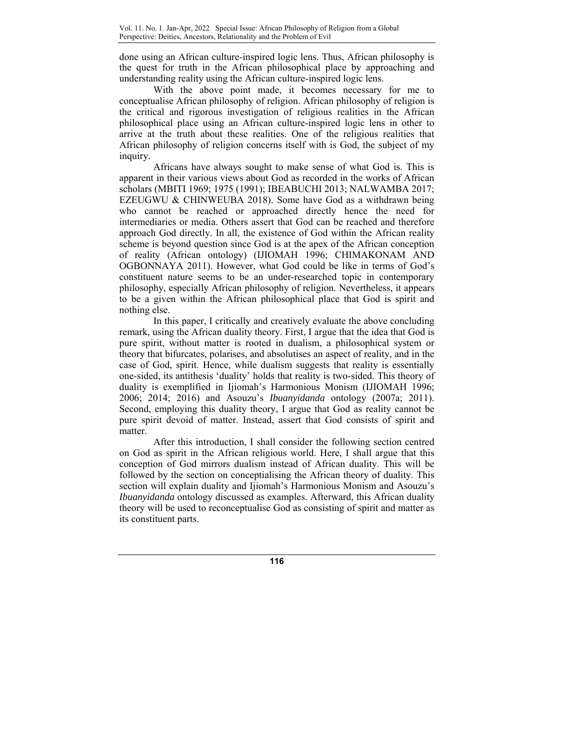done using an African culture-inspired logic lens. Thus, African philosophy is the quest for truth in the African philosophical place by approaching and understanding reality using the African culture-inspired logic lens.

With the above point made, it becomes necessary for me to conceptualise African philosophy of religion. African philosophy of religion is the critical and rigorous investigation of religious realities in the African philosophical place using an African culture-inspired logic lens in other to arrive at the truth about these realities. One of the religious realities that African philosophy of religion concerns itself with is God, the subject of my inquiry.

Africans have always sought to make sense of what God is. This is apparent in their various views about God as recorded in the works of African scholars (MBITI 1969; 1975 (1991); IBEABUCHI 2013; NALWAMBA 2017; EZEUGWU & CHINWEUBA 2018). Some have God as a withdrawn being who cannot be reached or approached directly hence the need for intermediaries or media. Others assert that God can be reached and therefore approach God directly. In all, the existence of God within the African reality scheme is beyond question since God is at the apex of the African conception of reality (African ontology) (IJIOMAH 1996; CHIMAKONAM AND OGBONNAYA 2011). However, what God could be like in terms of God's constituent nature seems to be an under-researched topic in contemporary philosophy, especially African philosophy of religion. Nevertheless, it appears to be a given within the African philosophical place that God is spirit and nothing else.

In this paper, I critically and creatively evaluate the above concluding remark, using the African duality theory. First, I argue that the idea that God is pure spirit, without matter is rooted in dualism, a philosophical system or theory that bifurcates, polarises, and absolutises an aspect of reality, and in the case of God, spirit. Hence, while dualism suggests that reality is essentially one-sided, its antithesis 'duality' holds that reality is two-sided. This theory of duality is exemplified in Ijiomah's Harmonious Monism (IJIOMAH 1996; 2006; 2014; 2016) and Asouzu's *Ibuanyidanda* ontology (2007a; 2011). Second, employing this duality theory, I argue that God as reality cannot be pure spirit devoid of matter. Instead, assert that God consists of spirit and matter.

After this introduction, I shall consider the following section centred on God as spirit in the African religious world. Here, I shall argue that this conception of God mirrors dualism instead of African duality. This will be followed by the section on conceptialising the African theory of duality. This section will explain duality and Ijiomah's Harmonious Monism and Asouzu's *Ibuanyidanda* ontology discussed as examples. Afterward, this African duality theory will be used to reconceptualise God as consisting of spirit and matter as its constituent parts.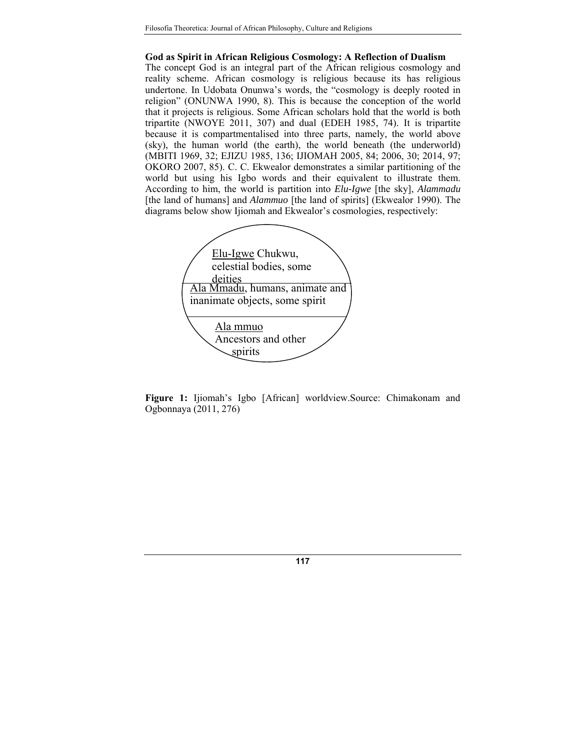#### **God as Spirit in African Religious Cosmology: A Reflection of Dualism**

The concept God is an integral part of the African religious cosmology and reality scheme. African cosmology is religious because its has religious undertone. In Udobata Onunwa's words, the "cosmology is deeply rooted in religion" (ONUNWA 1990, 8). This is because the conception of the world that it projects is religious. Some African scholars hold that the world is both tripartite (NWOYE 2011, 307) and dual (EDEH 1985, 74). It is tripartite because it is compartmentalised into three parts, namely, the world above (sky), the human world (the earth), the world beneath (the underworld) (MBITI 1969, 32; EJIZU 1985, 136; IJIOMAH 2005, 84; 2006, 30; 2014, 97; OKORO 2007, 85). C. C. Ekwealor demonstrates a similar partitioning of the world but using his Igbo words and their equivalent to illustrate them. According to him, the world is partition into *Elu-Igwe* [the sky], *Alammadu* [the land of humans] and *Alammuo* [the land of spirits] (Ekwealor 1990). The diagrams below show Ijiomah and Ekwealor's cosmologies, respectively:



**Figure 1:** Ijiomah's Igbo [African] worldview.Source: Chimakonam and Ogbonnaya (2011, 276)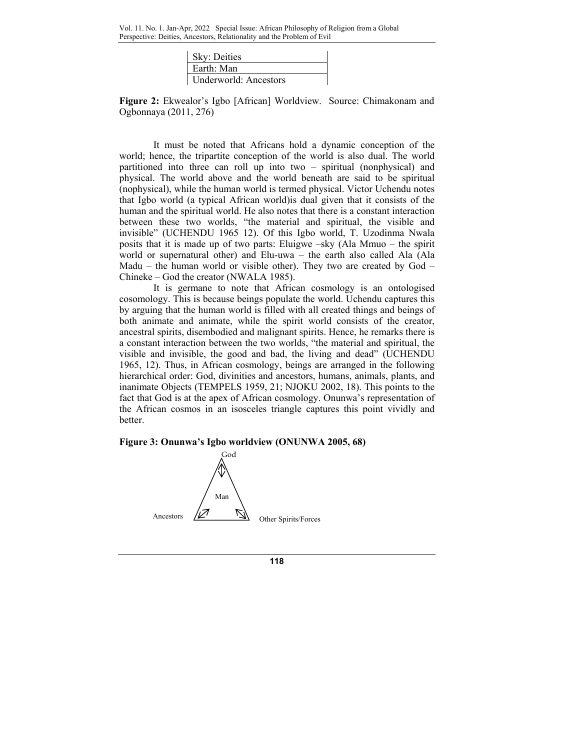| Sky: Deities                 |  |
|------------------------------|--|
| l Earth: Man                 |  |
| <b>Underworld: Ancestors</b> |  |

**Figure 2:** Ekwealor's Igbo [African] Worldview. Source: Chimakonam and Ogbonnaya (2011, 276)

It must be noted that Africans hold a dynamic conception of the world; hence, the tripartite conception of the world is also dual. The world partitioned into three can roll up into two – spiritual (nonphysical) and physical. The world above and the world beneath are said to be spiritual (nophysical), while the human world is termed physical. Victor Uchendu notes that Igbo world (a typical African world)is dual given that it consists of the human and the spiritual world. He also notes that there is a constant interaction between these two worlds, "the material and spiritual, the visible and invisible" (UCHENDU 1965 12). Of this Igbo world, T. Uzodinma Nwala posits that it is made up of two parts: Eluigwe –sky (Ala Mmuo – the spirit world or supernatural other) and Elu-uwa – the earth also called Ala (Ala Madu – the human world or visible other). They two are created by  $God -$ Chineke – God the creator (NWALA 1985).

It is germane to note that African cosmology is an ontologised cosomology. This is because beings populate the world. Uchendu captures this by arguing that the human world is filled with all created things and beings of both animate and animate, while the spirit world consists of the creator, ancestral spirits, disembodied and malignant spirits. Hence, he remarks there is a constant interaction between the two worlds, "the material and spiritual, the visible and invisible, the good and bad, the living and dead" (UCHENDU 1965, 12). Thus, in African cosmology, beings are arranged in the following hierarchical order: God, divinities and ancestors, humans, animals, plants, and inanimate Objects (TEMPELS 1959, 21; NJOKU 2002, 18). This points to the fact that God is at the apex of African cosmology. Onunwa's representation of the African cosmos in an isosceles triangle captures this point vividly and better.

# **Figure 3: Onunwa's Igbo worldview (ONUNWA 2005, 68)**

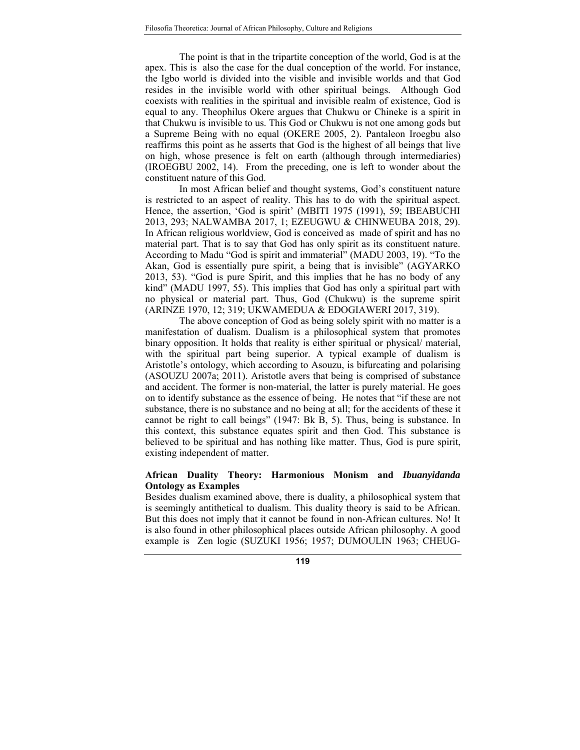The point is that in the tripartite conception of the world, God is at the apex. This is also the case for the dual conception of the world. For instance, the Igbo world is divided into the visible and invisible worlds and that God resides in the invisible world with other spiritual beings. Although God coexists with realities in the spiritual and invisible realm of existence, God is equal to any. Theophilus Okere argues that Chukwu or Chineke is a spirit in that Chukwu is invisible to us. This God or Chukwu is not one among gods but a Supreme Being with no equal (OKERE 2005, 2). Pantaleon Iroegbu also reaffirms this point as he asserts that God is the highest of all beings that live on high, whose presence is felt on earth (although through intermediaries) (IROEGBU 2002, 14). From the preceding, one is left to wonder about the constituent nature of this God.

In most African belief and thought systems, God's constituent nature is restricted to an aspect of reality. This has to do with the spiritual aspect. Hence, the assertion, 'God is spirit' (MBITI 1975 (1991), 59; IBEABUCHI 2013, 293; NALWAMBA 2017, 1; EZEUGWU & CHINWEUBA 2018, 29). In African religious worldview, God is conceived as made of spirit and has no material part. That is to say that God has only spirit as its constituent nature. According to Madu "God is spirit and immaterial" (MADU 2003, 19). "To the Akan, God is essentially pure spirit, a being that is invisible" (AGYARKO 2013, 53). "God is pure Spirit, and this implies that he has no body of any kind" (MADU 1997, 55). This implies that God has only a spiritual part with no physical or material part. Thus, God (Chukwu) is the supreme spirit (ARINZE 1970, 12; 319; UKWAMEDUA & EDOGIAWERI 2017, 319).

The above conception of God as being solely spirit with no matter is a manifestation of dualism. Dualism is a philosophical system that promotes binary opposition. It holds that reality is either spiritual or physical/ material, with the spiritual part being superior. A typical example of dualism is Aristotle's ontology, which according to Asouzu, is bifurcating and polarising (ASOUZU 2007a; 2011). Aristotle avers that being is comprised of substance and accident. The former is non-material, the latter is purely material. He goes on to identify substance as the essence of being. He notes that "if these are not substance, there is no substance and no being at all; for the accidents of these it cannot be right to call beings" (1947: Bk B, 5). Thus, being is substance. In this context, this substance equates spirit and then God. This substance is believed to be spiritual and has nothing like matter. Thus, God is pure spirit, existing independent of matter.

## **African Duality Theory: Harmonious Monism and** *Ibuanyidanda* **Ontology as Examples**

Besides dualism examined above, there is duality, a philosophical system that is seemingly antithetical to dualism. This duality theory is said to be African. But this does not imply that it cannot be found in non-African cultures. No! It is also found in other philosophical places outside African philosophy. A good example is Zen logic (SUZUKI 1956; 1957; DUMOULIN 1963; CHEUG-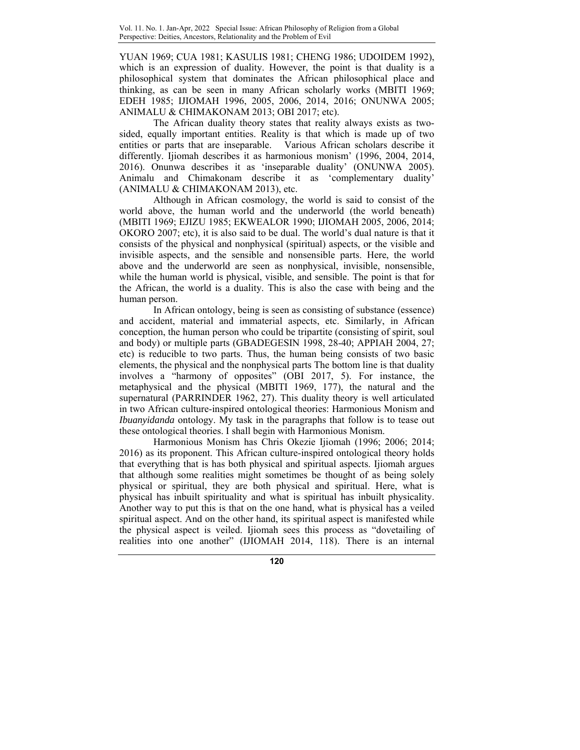YUAN 1969; CUA 1981; KASULIS 1981; CHENG 1986; UDOIDEM 1992), which is an expression of duality. However, the point is that duality is a philosophical system that dominates the African philosophical place and thinking, as can be seen in many African scholarly works (MBITI 1969; EDEH 1985; IJIOMAH 1996, 2005, 2006, 2014, 2016; ONUNWA 2005; ANIMALU & CHIMAKONAM 2013; OBI 2017; etc).

The African duality theory states that reality always exists as twosided, equally important entities. Reality is that which is made up of two entities or parts that are inseparable. Various African scholars describe it differently. Ijiomah describes it as harmonious monism' (1996, 2004, 2014, 2016). Onunwa describes it as 'inseparable duality' (ONUNWA 2005). Animalu and Chimakonam describe it as 'complementary duality' (ANIMALU & CHIMAKONAM 2013), etc.

Although in African cosmology, the world is said to consist of the world above, the human world and the underworld (the world beneath) (MBITI 1969; EJIZU 1985; EKWEALOR 1990; IJIOMAH 2005, 2006, 2014; OKORO 2007; etc), it is also said to be dual. The world's dual nature is that it consists of the physical and nonphysical (spiritual) aspects, or the visible and invisible aspects, and the sensible and nonsensible parts. Here, the world above and the underworld are seen as nonphysical, invisible, nonsensible, while the human world is physical, visible, and sensible. The point is that for the African, the world is a duality. This is also the case with being and the human person.

In African ontology, being is seen as consisting of substance (essence) and accident, material and immaterial aspects, etc. Similarly, in African conception, the human person who could be tripartite (consisting of spirit, soul and body) or multiple parts (GBADEGESIN 1998, 28-40; APPIAH 2004, 27; etc) is reducible to two parts. Thus, the human being consists of two basic elements, the physical and the nonphysical parts The bottom line is that duality involves a "harmony of opposites" (OBI 2017, 5). For instance, the metaphysical and the physical (MBITI 1969, 177), the natural and the supernatural (PARRINDER 1962, 27). This duality theory is well articulated in two African culture-inspired ontological theories: Harmonious Monism and *Ibuanyidanda* ontology. My task in the paragraphs that follow is to tease out these ontological theories. I shall begin with Harmonious Monism.

Harmonious Monism has Chris Okezie Ijiomah (1996; 2006; 2014; 2016) as its proponent. This African culture-inspired ontological theory holds that everything that is has both physical and spiritual aspects. Ijiomah argues that although some realities might sometimes be thought of as being solely physical or spiritual, they are both physical and spiritual. Here, what is physical has inbuilt spirituality and what is spiritual has inbuilt physicality. Another way to put this is that on the one hand, what is physical has a veiled spiritual aspect. And on the other hand, its spiritual aspect is manifested while the physical aspect is veiled. Ijiomah sees this process as "dovetailing of realities into one another" (IJIOMAH 2014, 118). There is an internal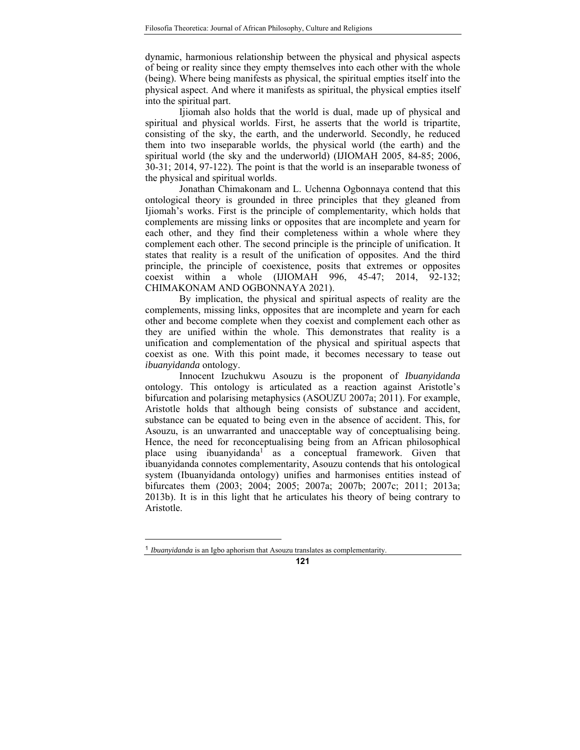dynamic, harmonious relationship between the physical and physical aspects of being or reality since they empty themselves into each other with the whole (being). Where being manifests as physical, the spiritual empties itself into the physical aspect. And where it manifests as spiritual, the physical empties itself into the spiritual part.

Ijiomah also holds that the world is dual, made up of physical and spiritual and physical worlds. First, he asserts that the world is tripartite, consisting of the sky, the earth, and the underworld. Secondly, he reduced them into two inseparable worlds, the physical world (the earth) and the spiritual world (the sky and the underworld) (IJIOMAH 2005, 84-85; 2006, 30-31; 2014, 97-122). The point is that the world is an inseparable twoness of the physical and spiritual worlds.

Jonathan Chimakonam and L. Uchenna Ogbonnaya contend that this ontological theory is grounded in three principles that they gleaned from Ijiomah's works. First is the principle of complementarity, which holds that complements are missing links or opposites that are incomplete and yearn for each other, and they find their completeness within a whole where they complement each other. The second principle is the principle of unification. It states that reality is a result of the unification of opposites. And the third principle, the principle of coexistence, posits that extremes or opposites coexist within a whole (IJIOMAH 996, 45-47; 2014, 92-132; CHIMAKONAM AND OGBONNAYA 2021).

By implication, the physical and spiritual aspects of reality are the complements, missing links, opposites that are incomplete and yearn for each other and become complete when they coexist and complement each other as they are unified within the whole. This demonstrates that reality is a unification and complementation of the physical and spiritual aspects that coexist as one. With this point made, it becomes necessary to tease out *ibuanyidanda* ontology.

Innocent Izuchukwu Asouzu is the proponent of *Ibuanyidanda*  ontology. This ontology is articulated as a reaction against Aristotle's bifurcation and polarising metaphysics (ASOUZU 2007a; 2011). For example, Aristotle holds that although being consists of substance and accident, substance can be equated to being even in the absence of accident. This, for Asouzu, is an unwarranted and unacceptable way of conceptualising being. Hence, the need for reconceptualising being from an African philosophical place using ibuanyidanda<sup>1</sup> as a conceptual framework. Given that ibuanyidanda connotes complementarity, Asouzu contends that his ontological system (Ibuanyidanda ontology) unifies and harmonises entities instead of bifurcates them (2003; 2004; 2005; 2007a; 2007b; 2007c; 2011; 2013a; 2013b). It is in this light that he articulates his theory of being contrary to Aristotle.

-

<sup>1</sup> *Ibuanyidanda* is an Igbo aphorism that Asouzu translates as complementarity.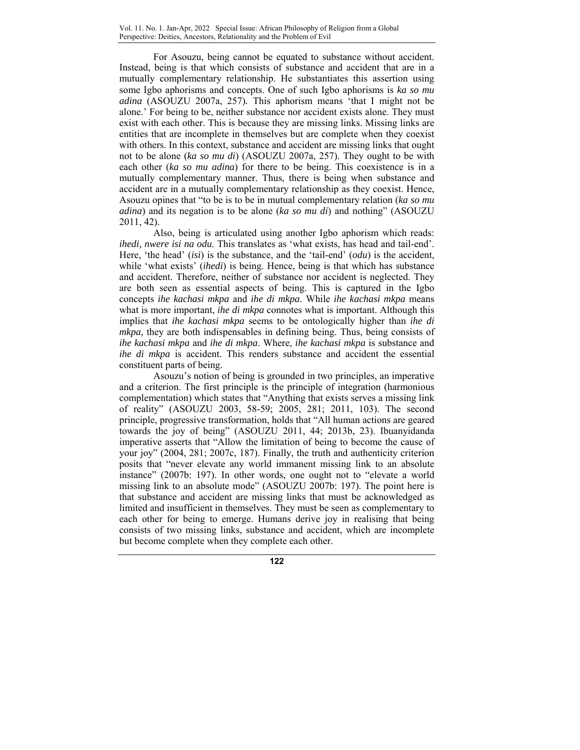For Asouzu, being cannot be equated to substance without accident. Instead, being is that which consists of substance and accident that are in a mutually complementary relationship. He substantiates this assertion using some Igbo aphorisms and concepts. One of such Igbo aphorisms is *ka so mu adina* (ASOUZU 2007a, 257)*.* This aphorism means 'that I might not be alone.' For being to be, neither substance nor accident exists alone. They must exist with each other. This is because they are missing links. Missing links are entities that are incomplete in themselves but are complete when they coexist with others. In this context, substance and accident are missing links that ought not to be alone (*ka so mu di*) (ASOUZU 2007a, 257). They ought to be with each other (*ka so mu adina*) for there to be being. This coexistence is in a mutually complementary manner. Thus, there is being when substance and accident are in a mutually complementary relationship as they coexist. Hence, Asouzu opines that "to be is to be in mutual complementary relation (*ka so mu adina*) and its negation is to be alone (*ka so mu di*) and nothing" (ASOUZU 2011, 42).

Also, being is articulated using another Igbo aphorism which reads: *ihedi, nwere isi na odu.* This translates as 'what exists, has head and tail-end'. Here, 'the head' (*isi*) is the substance, and the 'tail-end' (*odu*) is the accident, while 'what exists' (*ihedi*) is being. Hence, being is that which has substance and accident. Therefore, neither of substance nor accident is neglected. They are both seen as essential aspects of being. This is captured in the Igbo concepts *ihe kachasi mkpa* and *ihe di mkpa*. While *ihe kachasi mkpa* means what is more important, *ihe di mkpa* connotes what is important. Although this implies that *ihe kachasi mkpa* seems to be ontologically higher than *ihe di mkpa,* they are both indispensables in defining being. Thus, being consists of *ihe kachasi mkpa* and *ihe di mkpa*. Where, *ihe kachasi mkpa* is substance and *ihe di mkpa* is accident. This renders substance and accident the essential constituent parts of being.

Asouzu's notion of being is grounded in two principles, an imperative and a criterion. The first principle is the principle of integration (harmonious complementation) which states that "Anything that exists serves a missing link of reality" (ASOUZU 2003, 58-59; 2005, 281; 2011, 103). The second principle, progressive transformation, holds that "All human actions are geared towards the joy of being" (ASOUZU 2011, 44; 2013b, 23). Ibuanyidanda imperative asserts that "Allow the limitation of being to become the cause of your joy" (2004, 281; 2007c, 187). Finally, the truth and authenticity criterion posits that "never elevate any world immanent missing link to an absolute instance" (2007b: 197). In other words, one ought not to "elevate a world missing link to an absolute mode" (ASOUZU 2007b: 197). The point here is that substance and accident are missing links that must be acknowledged as limited and insufficient in themselves. They must be seen as complementary to each other for being to emerge. Humans derive joy in realising that being consists of two missing links, substance and accident, which are incomplete but become complete when they complete each other.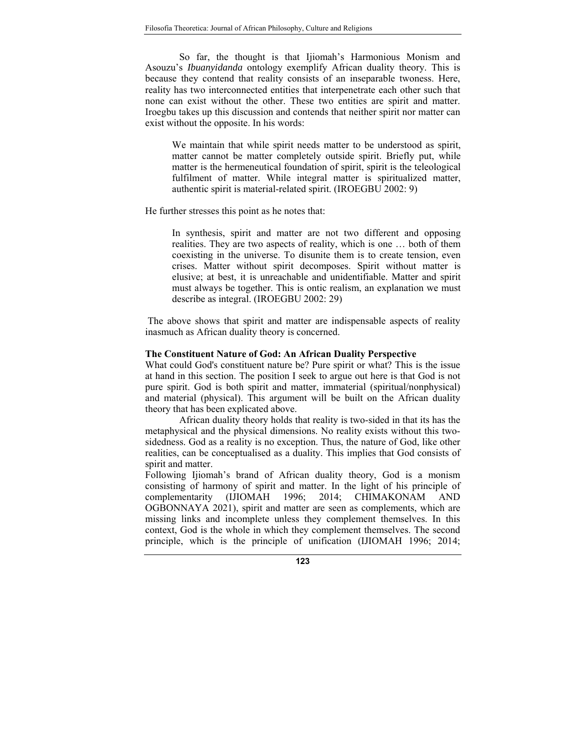So far, the thought is that Ijiomah's Harmonious Monism and Asouzu's *Ibuanyidanda* ontology exemplify African duality theory. This is because they contend that reality consists of an inseparable twoness. Here, reality has two interconnected entities that interpenetrate each other such that none can exist without the other. These two entities are spirit and matter. Iroegbu takes up this discussion and contends that neither spirit nor matter can exist without the opposite. In his words:

We maintain that while spirit needs matter to be understood as spirit, matter cannot be matter completely outside spirit. Briefly put, while matter is the hermeneutical foundation of spirit, spirit is the teleological fulfilment of matter. While integral matter is spiritualized matter, authentic spirit is material-related spirit. (IROEGBU 2002: 9)

He further stresses this point as he notes that:

In synthesis, spirit and matter are not two different and opposing realities. They are two aspects of reality, which is one … both of them coexisting in the universe. To disunite them is to create tension, even crises. Matter without spirit decomposes. Spirit without matter is elusive; at best, it is unreachable and unidentifiable. Matter and spirit must always be together. This is ontic realism, an explanation we must describe as integral. (IROEGBU 2002: 29)

 The above shows that spirit and matter are indispensable aspects of reality inasmuch as African duality theory is concerned.

## **The Constituent Nature of God: An African Duality Perspective**

What could God's constituent nature be? Pure spirit or what? This is the issue at hand in this section. The position I seek to argue out here is that God is not pure spirit. God is both spirit and matter, immaterial (spiritual/nonphysical) and material (physical). This argument will be built on the African duality theory that has been explicated above.

African duality theory holds that reality is two-sided in that its has the metaphysical and the physical dimensions. No reality exists without this twosidedness. God as a reality is no exception. Thus, the nature of God, like other realities, can be conceptualised as a duality. This implies that God consists of spirit and matter.

Following Ijiomah's brand of African duality theory, God is a monism consisting of harmony of spirit and matter. In the light of his principle of complementarity (IJIOMAH 1996; 2014; CHIMAKONAM AND OGBONNAYA 2021), spirit and matter are seen as complements, which are missing links and incomplete unless they complement themselves. In this context, God is the whole in which they complement themselves. The second principle, which is the principle of unification (IJIOMAH 1996; 2014;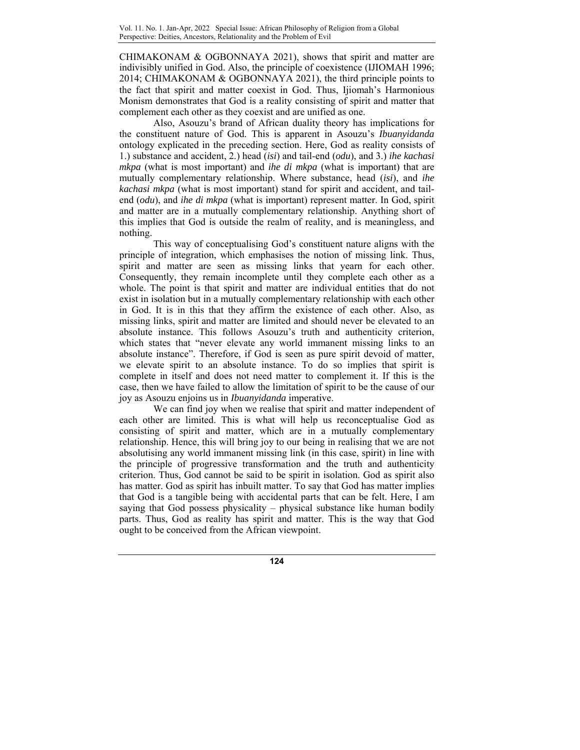CHIMAKONAM & OGBONNAYA 2021), shows that spirit and matter are indivisibly unified in God. Also, the principle of coexistence (IJIOMAH 1996; 2014; CHIMAKONAM & OGBONNAYA 2021), the third principle points to the fact that spirit and matter coexist in God. Thus, Ijiomah's Harmonious Monism demonstrates that God is a reality consisting of spirit and matter that complement each other as they coexist and are unified as one.

Also, Asouzu's brand of African duality theory has implications for the constituent nature of God. This is apparent in Asouzu's *Ibuanyidanda*  ontology explicated in the preceding section. Here, God as reality consists of 1.) substance and accident, 2.) head (*isi*) and tail-end (*odu*), and 3.) *ihe kachasi mkpa* (what is most important) and *ihe di mkpa* (what is important) that are mutually complementary relationship. Where substance, head (*isi*), and *ihe kachasi mkpa* (what is most important) stand for spirit and accident, and tailend (*odu*), and *ihe di mkpa* (what is important) represent matter. In God, spirit and matter are in a mutually complementary relationship. Anything short of this implies that God is outside the realm of reality, and is meaningless, and nothing.

This way of conceptualising God's constituent nature aligns with the principle of integration, which emphasises the notion of missing link. Thus, spirit and matter are seen as missing links that yearn for each other. Consequently, they remain incomplete until they complete each other as a whole. The point is that spirit and matter are individual entities that do not exist in isolation but in a mutually complementary relationship with each other in God. It is in this that they affirm the existence of each other. Also, as missing links, spirit and matter are limited and should never be elevated to an absolute instance. This follows Asouzu's truth and authenticity criterion, which states that "never elevate any world immanent missing links to an absolute instance". Therefore, if God is seen as pure spirit devoid of matter, we elevate spirit to an absolute instance. To do so implies that spirit is complete in itself and does not need matter to complement it. If this is the case, then we have failed to allow the limitation of spirit to be the cause of our joy as Asouzu enjoins us in *Ibuanyidanda* imperative.

We can find joy when we realise that spirit and matter independent of each other are limited. This is what will help us reconceptualise God as consisting of spirit and matter, which are in a mutually complementary relationship. Hence, this will bring joy to our being in realising that we are not absolutising any world immanent missing link (in this case, spirit) in line with the principle of progressive transformation and the truth and authenticity criterion. Thus, God cannot be said to be spirit in isolation. God as spirit also has matter. God as spirit has inbuilt matter. To say that God has matter implies that God is a tangible being with accidental parts that can be felt. Here, I am saying that God possess physicality – physical substance like human bodily parts. Thus, God as reality has spirit and matter. This is the way that God ought to be conceived from the African viewpoint.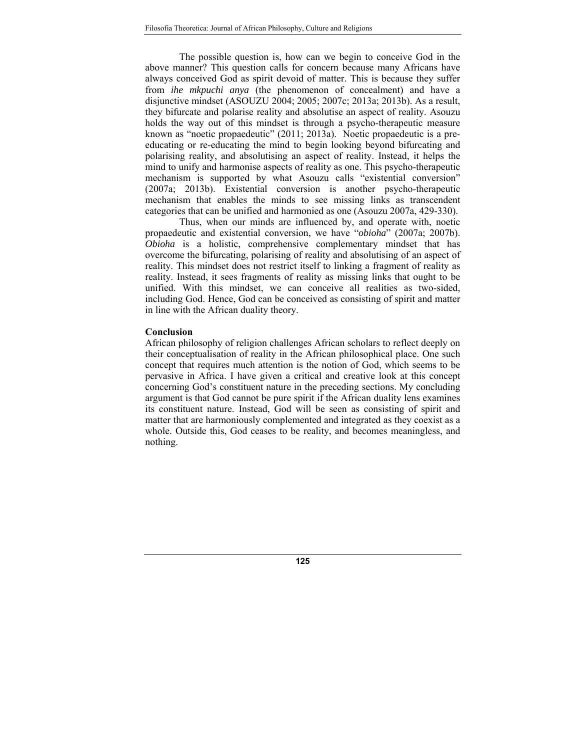The possible question is, how can we begin to conceive God in the above manner? This question calls for concern because many Africans have always conceived God as spirit devoid of matter. This is because they suffer from *ihe mkpuchi anya* (the phenomenon of concealment) and have a disjunctive mindset (ASOUZU 2004; 2005; 2007c; 2013a; 2013b). As a result, they bifurcate and polarise reality and absolutise an aspect of reality. Asouzu holds the way out of this mindset is through a psycho-therapeutic measure known as "noetic propaedeutic" (2011; 2013a). Noetic propaedeutic is a preeducating or re-educating the mind to begin looking beyond bifurcating and polarising reality, and absolutising an aspect of reality. Instead, it helps the mind to unify and harmonise aspects of reality as one. This psycho-therapeutic mechanism is supported by what Asouzu calls "existential conversion" (2007a; 2013b). Existential conversion is another psycho-therapeutic mechanism that enables the minds to see missing links as transcendent categories that can be unified and harmonied as one (Asouzu 2007a, 429-330).

Thus, when our minds are influenced by, and operate with, noetic propaedeutic and existential conversion, we have "*obioha*" (2007a; 2007b). *Obioha* is a holistic, comprehensive complementary mindset that has overcome the bifurcating, polarising of reality and absolutising of an aspect of reality. This mindset does not restrict itself to linking a fragment of reality as reality. Instead, it sees fragments of reality as missing links that ought to be unified. With this mindset, we can conceive all realities as two-sided, including God. Hence, God can be conceived as consisting of spirit and matter in line with the African duality theory.

#### **Conclusion**

African philosophy of religion challenges African scholars to reflect deeply on their conceptualisation of reality in the African philosophical place. One such concept that requires much attention is the notion of God, which seems to be pervasive in Africa. I have given a critical and creative look at this concept concerning God's constituent nature in the preceding sections. My concluding argument is that God cannot be pure spirit if the African duality lens examines its constituent nature. Instead, God will be seen as consisting of spirit and matter that are harmoniously complemented and integrated as they coexist as a whole. Outside this, God ceases to be reality, and becomes meaningless, and nothing.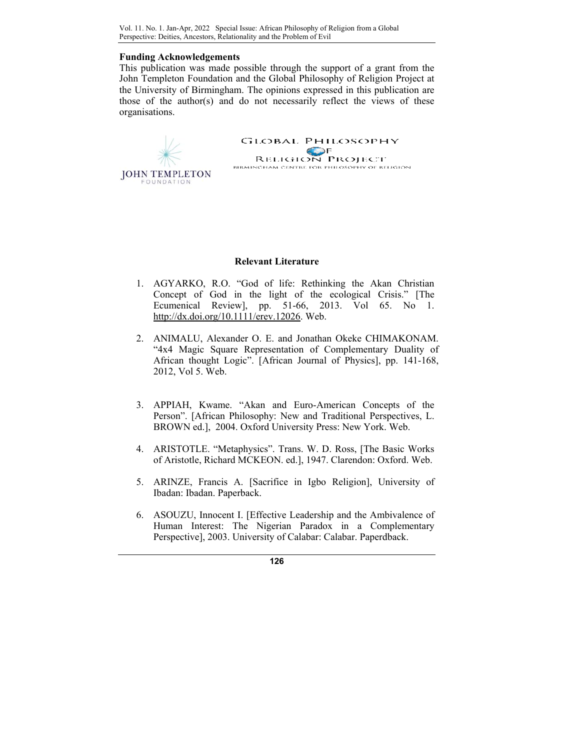### **Funding Acknowledgements**

This publication was made possible through the support of a grant from the John Templeton Foundation and the Global Philosophy of Religion Project at the University of Birmingham. The opinions expressed in this publication are those of the author(s) and do not necessarily reflect the views of these organisations.



## **Relevant Literature**

- 1. AGYARKO, R.O. "God of life: Rethinking the Akan Christian Concept of God in the light of the ecological Crisis." [The Ecumenical Review], pp. 51-66, 2013. Vol 65. No 1. http://dx.doi.org/10.1111/erev.12026. Web.
- 2. ANIMALU, Alexander O. E. and Jonathan Okeke CHIMAKONAM. "4x4 Magic Square Representation of Complementary Duality of African thought Logic". [African Journal of Physics], pp. 141-168, 2012, Vol 5. Web.
- 3. APPIAH, Kwame. "Akan and Euro-American Concepts of the Person". [African Philosophy: New and Traditional Perspectives, L. BROWN ed.], 2004. Oxford University Press: New York. Web.
- 4. ARISTOTLE. "Metaphysics". Trans. W. D. Ross, [The Basic Works of Aristotle, Richard MCKEON. ed.], 1947. Clarendon: Oxford. Web.
- 5. ARINZE, Francis A. [Sacrifice in Igbo Religion], University of Ibadan: Ibadan. Paperback.
- 6. ASOUZU, Innocent I. [Effective Leadership and the Ambivalence of Human Interest: The Nigerian Paradox in a Complementary Perspective], 2003. University of Calabar: Calabar. Paperdback.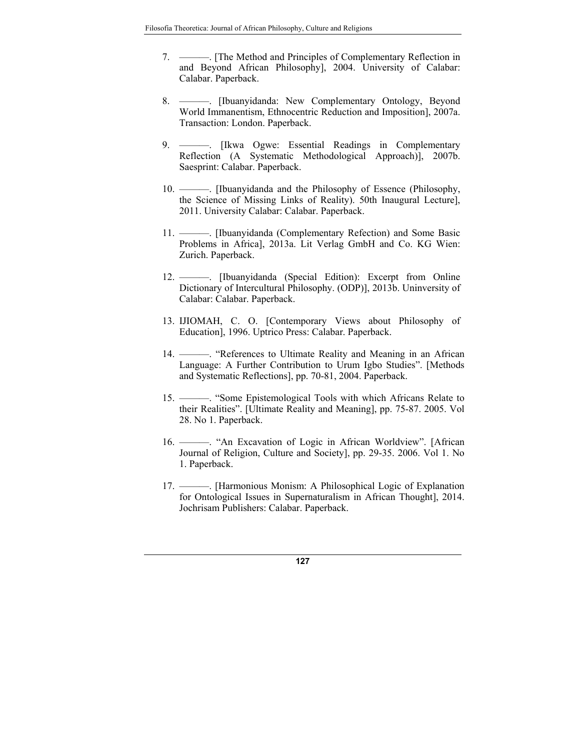- 7. ———. [The Method and Principles of Complementary Reflection in and Beyond African Philosophy], 2004. University of Calabar: Calabar. Paperback.
- 8. ———. [Ibuanyidanda: New Complementary Ontology, Beyond World Immanentism, Ethnocentric Reduction and Imposition], 2007a. Transaction: London. Paperback.
- 9. ———. [Ikwa Ogwe: Essential Readings in Complementary Reflection (A Systematic Methodological Approach)], 2007b. Saesprint: Calabar. Paperback.
- 10. ———. [Ibuanyidanda and the Philosophy of Essence (Philosophy, the Science of Missing Links of Reality). 50th Inaugural Lecture], 2011. University Calabar: Calabar. Paperback.
- 11. ———. [Ibuanyidanda (Complementary Refection) and Some Basic Problems in Africa], 2013a. Lit Verlag GmbH and Co. KG Wien: Zurich. Paperback.
- 12. ———. [Ibuanyidanda (Special Edition): Excerpt from Online Dictionary of Intercultural Philosophy. (ODP)], 2013b. Uninversity of Calabar: Calabar. Paperback.
- 13. IJIOMAH, C. O. [Contemporary Views about Philosophy of Education], 1996. Uptrico Press: Calabar. Paperback.
- 14. ———. "References to Ultimate Reality and Meaning in an African Language: A Further Contribution to Urum Igbo Studies". [Methods and Systematic Reflections], pp. 70-81, 2004. Paperback.
- 15. ———. "Some Epistemological Tools with which Africans Relate to their Realities". [Ultimate Reality and Meaning], pp. 75-87. 2005. Vol 28. No 1. Paperback.
- 16. ———. "An Excavation of Logic in African Worldview". [African Journal of Religion, Culture and Society], pp. 29-35. 2006. Vol 1. No 1. Paperback.
- 17. ———. [Harmonious Monism: A Philosophical Logic of Explanation for Ontological Issues in Supernaturalism in African Thought], 2014. Jochrisam Publishers: Calabar. Paperback.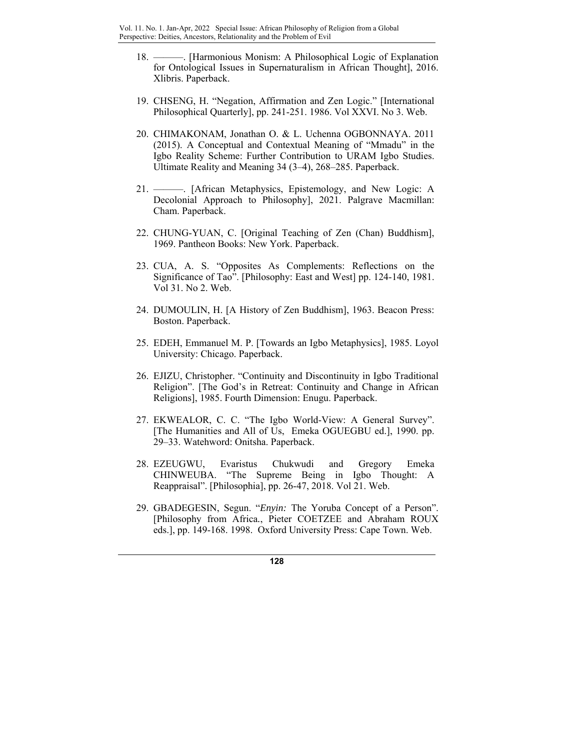- 18. ———. [Harmonious Monism: A Philosophical Logic of Explanation for Ontological Issues in Supernaturalism in African Thought], 2016. Xlibris. Paperback.
- 19. CHSENG, H. "Negation, Affirmation and Zen Logic." [International Philosophical Quarterly], pp. 241-251. 1986. Vol XXVI. No 3. Web.
- 20. CHIMAKONAM, Jonathan O. & L. Uchenna OGBONNAYA. 2011 (2015). A Conceptual and Contextual Meaning of "Mmadu" in the Igbo Reality Scheme: Further Contribution to URAM Igbo Studies. Ultimate Reality and Meaning 34 (3–4), 268–285. Paperback.
- 21. ———. [African Metaphysics, Epistemology, and New Logic: A Decolonial Approach to Philosophy], 2021. Palgrave Macmillan: Cham. Paperback.
- 22. CHUNG-YUAN, C. [Original Teaching of Zen (Chan) Buddhism], 1969. Pantheon Books: New York. Paperback.
- 23. CUA, A. S. "Opposites As Complements: Reflections on the Significance of Tao". [Philosophy: East and West] pp. 124-140, 1981. Vol 31. No 2. Web.
- 24. DUMOULIN, H. [A History of Zen Buddhism], 1963. Beacon Press: Boston. Paperback.
- 25. EDEH, Emmanuel M. P. [Towards an Igbo Metaphysics], 1985. Loyol University: Chicago. Paperback.
- 26. EJIZU, Christopher. "Continuity and Discontinuity in Igbo Traditional Religion". [The God's in Retreat: Continuity and Change in African Religions], 1985. Fourth Dimension: Enugu. Paperback.
- 27. EKWEALOR, C. C. "The Igbo World-View: A General Survey". [The Humanities and All of Us, Emeka OGUEGBU ed.], 1990. pp. 29–33. Watehword: Onitsha. Paperback.
- 28. EZEUGWU, Evaristus Chukwudi and Gregory Emeka CHINWEUBA. "The Supreme Being in Igbo Thought: A Reappraisal". [Philosophia], pp. 26-47, 2018. Vol 21. Web.
- 29. GBADEGESIN, Segun. "*Enyin:* The Yoruba Concept of a Person". [Philosophy from Africa*.*, Pieter COETZEE and Abraham ROUX eds.], pp. 149-168. 1998. Oxford University Press: Cape Town. Web.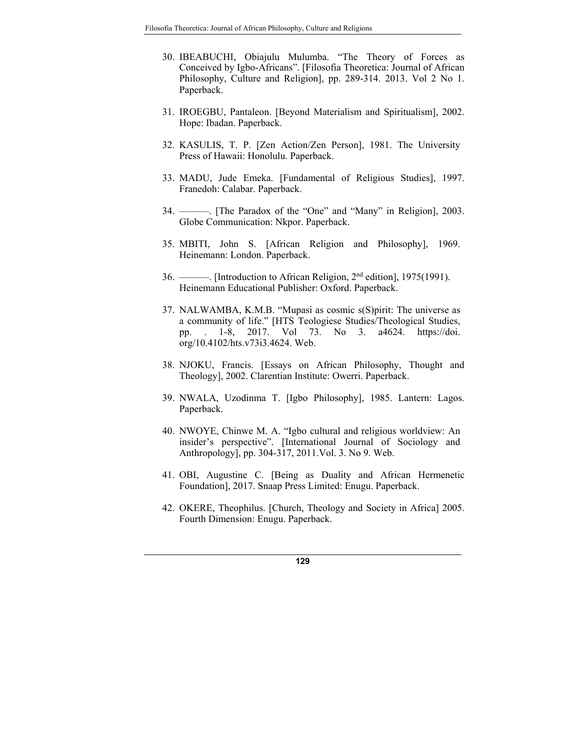- 30. IBEABUCHI, Obiajulu Mulumba. "The Theory of Forces as Conceived by Igbo-Africans". [Filosofia Theoretica: Journal of African Philosophy, Culture and Religion], pp. 289-314. 2013. Vol 2 No 1. Paperback.
- 31. IROEGBU, Pantaleon. [Beyond Materialism and Spiritualism], 2002. Hope: Ibadan. Paperback.
- 32. KASULIS, T. P. [Zen Action/Zen Person], 1981. The University Press of Hawaii: Honolulu. Paperback.
- 33. MADU, Jude Emeka. [Fundamental of Religious Studies], 1997. Franedoh: Calabar. Paperback.
- 34. ———. [The Paradox of the "One" and "Many" in Religion], 2003. Globe Communication: Nkpor. Paperback.
- 35. MBITI, John S. [African Religion and Philosophy], 1969. Heinemann: London. Paperback.
- 36. ———. [Introduction to African Religion, 2nd edition], 1975(1991). Heinemann Educational Publisher: Oxford. Paperback.
- 37. NALWAMBA, K.M.B. "Mupasi as cosmic s(S)pirit: The universe as a community of life." [HTS Teologiese Studies/Theological Studies, pp. . 1-8, 2017. Vol 73. No 3. a4624. https://doi. org/10.4102/hts.v73i3.4624. Web.
- 38. NJOKU, Francis. [Essays on African Philosophy, Thought and Theology], 2002. Clarentian Institute: Owerri. Paperback.
- 39. NWALA, Uzodinma T. [Igbo Philosophy], 1985. Lantern: Lagos. Paperback.
- 40. NWOYE, Chinwe M. A. "Igbo cultural and religious worldview: An insider's perspective". [International Journal of Sociology and Anthropology], pp. 304-317, 2011.Vol. 3. No 9. Web.
- 41. OBI, Augustine C. [Being as Duality and African Hermenetic Foundation], 2017. Snaap Press Limited: Enugu. Paperback.
- 42. OKERE, Theophilus. [Church, Theology and Society in Africa] 2005. Fourth Dimension: Enugu. Paperback.